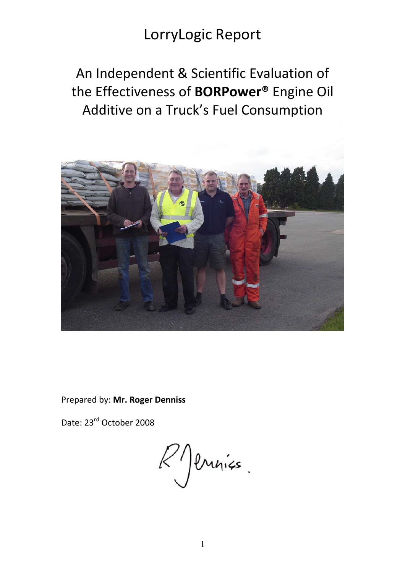## An Independent & Scientific Evaluation of the Effectiveness of **BORPower®** Engine Oil Additive on a Truck's Fuel Consumption



Prepared by: **Mr. Roger Denniss**

Date: 23rd October 2008

 $k$  ) envirs.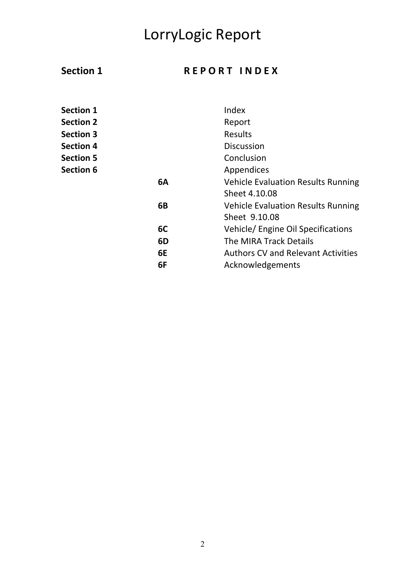## Section 1 REPORT INDEX

| <b>Section 1</b> |    | Index                                     |
|------------------|----|-------------------------------------------|
| <b>Section 2</b> |    | Report                                    |
| <b>Section 3</b> |    | <b>Results</b>                            |
| <b>Section 4</b> |    | <b>Discussion</b>                         |
| <b>Section 5</b> |    | Conclusion                                |
| <b>Section 6</b> |    | Appendices                                |
|                  | 6A | <b>Vehicle Evaluation Results Running</b> |
|                  |    | Sheet 4.10.08                             |
|                  | 6B | <b>Vehicle Evaluation Results Running</b> |
|                  |    | Sheet 9.10.08                             |
|                  | 6C | Vehicle/ Engine Oil Specifications        |
|                  | 6D | The MIRA Track Details                    |
|                  | 6E | <b>Authors CV and Relevant Activities</b> |
|                  | 6F | Acknowledgements                          |
|                  |    |                                           |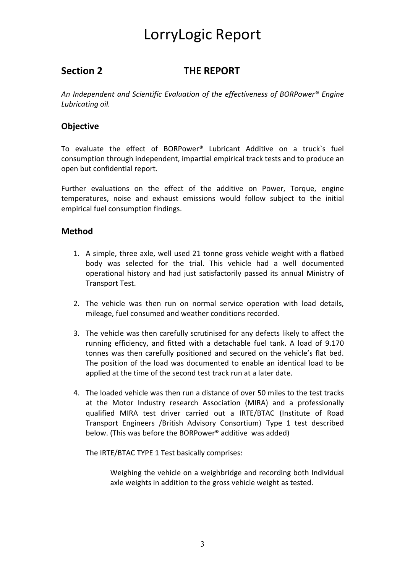## **Section 2 THE REPORT**

*An Independent and Scientific Evaluation of the effectiveness of BORPower® Engine Lubricating oil.* 

### **Objective**

To evaluate the effect of BORPower® Lubricant Additive on a truck`s fuel consumption through independent, impartial empirical track tests and to produce an open but confidential report.

Further evaluations on the effect of the additive on Power, Torque, engine temperatures, noise and exhaust emissions would follow subject to the initial empirical fuel consumption findings.

### **Method**

- 1. A simple, three axle, well used 21 tonne gross vehicle weight with a flatbed body was selected for the trial. This vehicle had a well documented operational history and had just satisfactorily passed its annual Ministry of Transport Test.
- 2. The vehicle was then run on normal service operation with load details, mileage, fuel consumed and weather conditions recorded.
- 3. The vehicle was then carefully scrutinised for any defects likely to affect the running efficiency, and fitted with a detachable fuel tank. A load of 9.170 tonnes was then carefully positioned and secured on the vehicle's flat bed. The position of the load was documented to enable an identical load to be applied at the time of the second test track run at a later date.
- 4. The loaded vehicle was then run a distance of over 50 miles to the test tracks at the Motor Industry research Association (MIRA) and a professionally qualified MIRA test driver carried out a IRTE/BTAC (Institute of Road Transport Engineers /British Advisory Consortium) Type 1 test described below. (This was before the BORPower® additive was added)

The IRTE/BTAC TYPE 1 Test basically comprises:

Weighing the vehicle on a weighbridge and recording both Individual axle weights in addition to the gross vehicle weight as tested.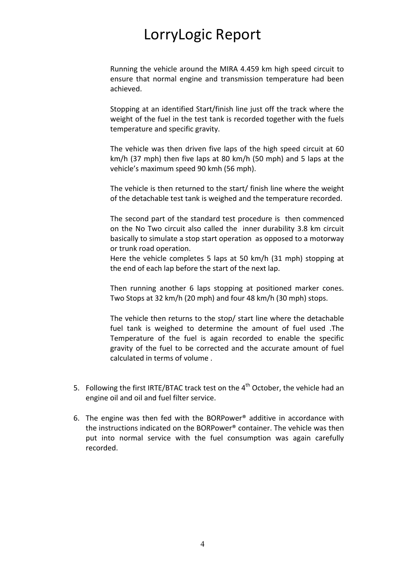Running the vehicle around the MIRA 4.459 km high speed circuit to ensure that normal engine and transmission temperature had been achieved.

Stopping at an identified Start/finish line just off the track where the weight of the fuel in the test tank is recorded together with the fuels temperature and specific gravity.

The vehicle was then driven five laps of the high speed circuit at 60 km/h (37 mph) then five laps at 80 km/h (50 mph) and 5 laps at the vehicle's maximum speed 90 kmh (56 mph).

The vehicle is then returned to the start/ finish line where the weight of the detachable test tank is weighed and the temperature recorded.

The second part of the standard test procedure is then commenced on the No Two circuit also called the inner durability 3.8 km circuit basically to simulate a stop start operation as opposed to a motorway or trunk road operation.

Here the vehicle completes 5 laps at 50 km/h (31 mph) stopping at the end of each lap before the start of the next lap.

Then running another 6 laps stopping at positioned marker cones. Two Stops at 32 km/h (20 mph) and four 48 km/h (30 mph) stops.

The vehicle then returns to the stop/ start line where the detachable fuel tank is weighed to determine the amount of fuel used .The Temperature of the fuel is again recorded to enable the specific gravity of the fuel to be corrected and the accurate amount of fuel calculated in terms of volume .

- 5. Following the first IRTE/BTAC track test on the 4<sup>th</sup> October, the vehicle had an engine oil and oil and fuel filter service.
- 6. The engine was then fed with the BORPower® additive in accordance with the instructions indicated on the BORPower® container. The vehicle was then put into normal service with the fuel consumption was again carefully recorded.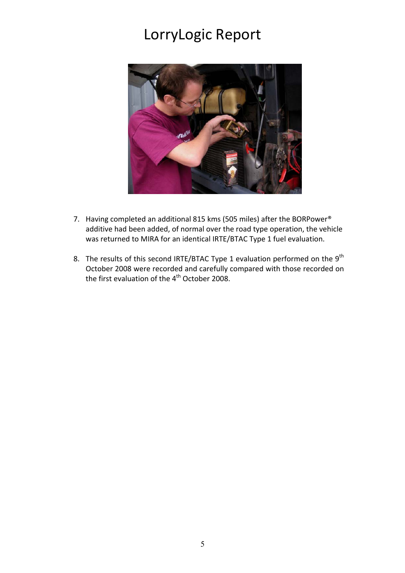

- 7. Having completed an additional 815 kms (505 miles) after the BORPower® additive had been added, of normal over the road type operation, the vehicle was returned to MIRA for an identical IRTE/BTAC Type 1 fuel evaluation.
- 8. The results of this second IRTE/BTAC Type 1 evaluation performed on the  $9^{th}$ October 2008 were recorded and carefully compared with those recorded on the first evaluation of the 4<sup>th</sup> October 2008.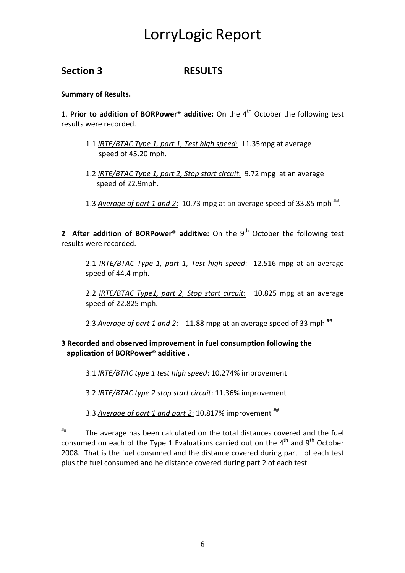## **Section 3 RESULTS**

**Summary of Results.** 

1. **Prior to addition of BORPower**® **additive:** On the 4th October the following test results were recorded.

- 1.1 *IRTE/BTAC Type 1, part 1, Test high speed*: 11.35mpg at average speed of 45.20 mph.
- 1.2 *IRTE/BTAC Type 1, part 2, Stop start circuit*: 9.72 mpg at an average speed of 22.9mph.
- 1.3 *Average of part 1 and 2*: 10.73 mpg at an average speed of 33.85 mph  $\mathrm{^{\#}}$ .

**2 After addition of BORPower<sup>®</sup> additive:** On the 9<sup>th</sup> October the following test results were recorded.

2.1 *IRTE/BTAC Type 1, part 1, Test high speed*: 12.516 mpg at an average speed of 44.4 mph.

2.2 *IRTE/BTAC Type1, part 2, Stop start circuit*: 10.825 mpg at an average speed of 22.825 mph.

2.3 *Average of part 1 and 2*: 11.88 mpg at an average speed of 33 mph **##**

#### **3 Recorded and observed improvement in fuel consumption following the application of BORPower**® **additive .**

3.1 *IRTE/BTAC type 1 test high speed*: 10.274% improvement

3.2 *IRTE/BTAC type 2 stop start circuit*: 11.36% improvement

3.3 *Average of part 1 and part 2*: 10.817% improvement **##**

## The average has been calculated on the total distances covered and the fuel consumed on each of the Type 1 Evaluations carried out on the  $4<sup>th</sup>$  and  $9<sup>th</sup>$  October 2008. That is the fuel consumed and the distance covered during part I of each test plus the fuel consumed and he distance covered during part 2 of each test.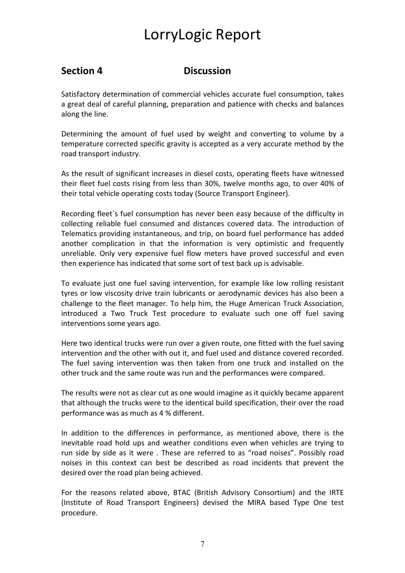## **Section 4 Discussion**

Satisfactory determination of commercial vehicles accurate fuel consumption, takes a great deal of careful planning, preparation and patience with checks and balances along the line.

Determining the amount of fuel used by weight and converting to volume by a temperature corrected specific gravity is accepted as a very accurate method by the road transport industry.

As the result of significant increases in diesel costs, operating fleets have witnessed their fleet fuel costs rising from less than 30%, twelve months ago, to over 40% of their total vehicle operating costs today (Source Transport Engineer).

Recording fleet`s fuel consumption has never been easy because of the difficulty in collecting reliable fuel consumed and distances covered data. The introduction of Telematics providing instantaneous, and trip, on board fuel performance has added another complication in that the information is very optimistic and frequently unreliable. Only very expensive fuel flow meters have proved successful and even then experience has indicated that some sort of test back up is advisable.

To evaluate just one fuel saving intervention, for example like low rolling resistant tyres or low viscosity drive train lubricants or aerodynamic devices has also been a challenge to the fleet manager. To help him, the Huge American Truck Association, introduced a Two Truck Test procedure to evaluate such one off fuel saving interventions some years ago.

Here two identical trucks were run over a given route, one fitted with the fuel saving intervention and the other with out it, and fuel used and distance covered recorded. The fuel saving intervention was then taken from one truck and installed on the other truck and the same route was run and the performances were compared.

The results were not as clear cut as one would imagine as it quickly became apparent that although the trucks were to the identical build specification, their over the road performance was as much as 4 % different.

In addition to the differences in performance, as mentioned above, there is the inevitable road hold ups and weather conditions even when vehicles are trying to run side by side as it were . These are referred to as "road noises". Possibly road noises in this context can best be described as road incidents that prevent the desired over the road plan being achieved.

For the reasons related above, BTAC (British Advisory Consortium) and the IRTE (Institute of Road Transport Engineers) devised the MIRA based Type One test procedure.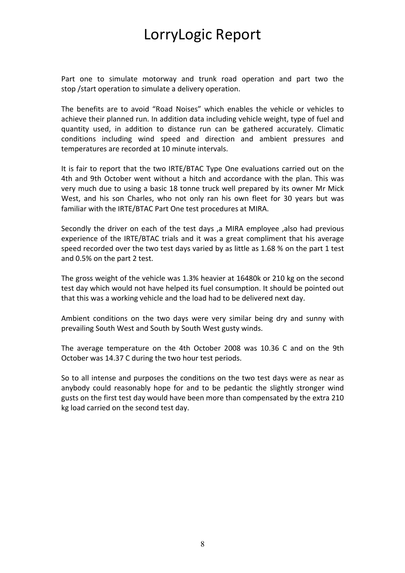Part one to simulate motorway and trunk road operation and part two the stop /start operation to simulate a delivery operation.

The benefits are to avoid "Road Noises" which enables the vehicle or vehicles to achieve their planned run. In addition data including vehicle weight, type of fuel and quantity used, in addition to distance run can be gathered accurately. Climatic conditions including wind speed and direction and ambient pressures and temperatures are recorded at 10 minute intervals.

It is fair to report that the two IRTE/BTAC Type One evaluations carried out on the 4th and 9th October went without a hitch and accordance with the plan. This was very much due to using a basic 18 tonne truck well prepared by its owner Mr Mick West, and his son Charles, who not only ran his own fleet for 30 years but was familiar with the IRTE/BTAC Part One test procedures at MIRA.

Secondly the driver on each of the test days ,a MIRA employee ,also had previous experience of the IRTE/BTAC trials and it was a great compliment that his average speed recorded over the two test days varied by as little as 1.68 % on the part 1 test and 0.5% on the part 2 test.

The gross weight of the vehicle was 1.3% heavier at 16480k or 210 kg on the second test day which would not have helped its fuel consumption. It should be pointed out that this was a working vehicle and the load had to be delivered next day.

Ambient conditions on the two days were very similar being dry and sunny with prevailing South West and South by South West gusty winds.

The average temperature on the 4th October 2008 was 10.36 C and on the 9th October was 14.37 C during the two hour test periods.

So to all intense and purposes the conditions on the two test days were as near as anybody could reasonably hope for and to be pedantic the slightly stronger wind gusts on the first test day would have been more than compensated by the extra 210 kg load carried on the second test day.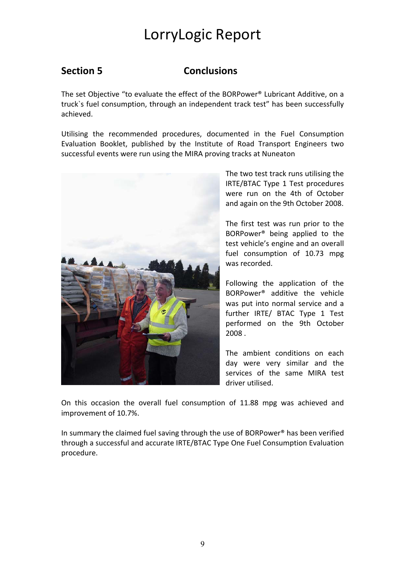## **Section 5 Conclusions**

The set Objective "to evaluate the effect of the BORPower® Lubricant Additive, on a truck`s fuel consumption, through an independent track test" has been successfully achieved.

Utilising the recommended procedures, documented in the Fuel Consumption Evaluation Booklet, published by the Institute of Road Transport Engineers two successful events were run using the MIRA proving tracks at Nuneaton



The two test track runs utilising the IRTE/BTAC Type 1 Test procedures were run on the 4th of October and again on the 9th October 2008.

The first test was run prior to the BORPower® being applied to the test vehicle's engine and an overall fuel consumption of 10.73 mpg was recorded.

Following the application of the BORPower® additive the vehicle was put into normal service and a further IRTE/ BTAC Type 1 Test performed on the 9th October 2008 .

The ambient conditions on each day were very similar and the services of the same MIRA test driver utilised.

On this occasion the overall fuel consumption of 11.88 mpg was achieved and improvement of 10.7%.

In summary the claimed fuel saving through the use of BORPower® has been verified through a successful and accurate IRTE/BTAC Type One Fuel Consumption Evaluation procedure.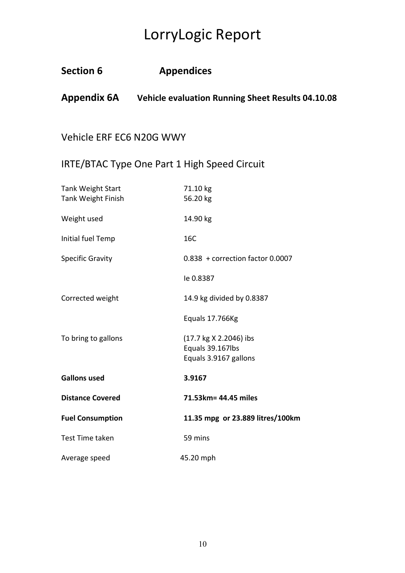| <b>Section 6</b>                                      | <b>Appendices</b>                                                    |
|-------------------------------------------------------|----------------------------------------------------------------------|
|                                                       | <b>Appendix 6A</b> Vehicle evaluation Running Sheet Results 04.10.08 |
|                                                       |                                                                      |
| Vehicle ERF EC6 N20G WWY                              |                                                                      |
|                                                       | IRTE/BTAC Type One Part 1 High Speed Circuit                         |
| <b>Tank Weight Start</b><br><b>Tank Weight Finish</b> | 71.10 kg<br>56.20 kg                                                 |
| Weight used                                           | 14.90 kg                                                             |
| Initial fuel Temp                                     | 16C                                                                  |
| <b>Specific Gravity</b>                               | $0.838 +$ correction factor 0.0007                                   |
|                                                       | le 0.8387                                                            |
| Corrected weight                                      | 14.9 kg divided by 0.8387                                            |
|                                                       | Equals 17.766Kg                                                      |
| To bring to gallons                                   | (17.7 kg X 2.2046) ibs<br>Equals 39.167lbs<br>Equals 3.9167 gallons  |
| <b>Gallons used</b>                                   | 3.9167                                                               |
| <b>Distance Covered</b>                               | 71.53km= 44.45 miles                                                 |
| <b>Fuel Consumption</b>                               | 11.35 mpg or 23.889 litres/100km                                     |
| <b>Test Time taken</b>                                | 59 mins                                                              |
| Average speed                                         | 45.20 mph                                                            |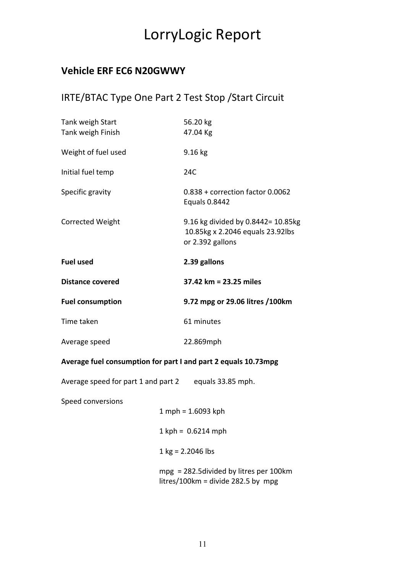## **Vehicle ERF EC6 N20GWWY**

## IRTE/BTAC Type One Part 2 Test Stop /Start Circuit

| Tank weigh Start<br>Tank weigh Finish                          | 56.20 kg<br>47.04 Kg                                                                       |
|----------------------------------------------------------------|--------------------------------------------------------------------------------------------|
| Weight of fuel used                                            | 9.16 kg                                                                                    |
| Initial fuel temp                                              | 24C                                                                                        |
| Specific gravity                                               | $0.838 +$ correction factor $0.0062$<br>Equals 0.8442                                      |
| <b>Corrected Weight</b>                                        | 9.16 kg divided by 0.8442= 10.85kg<br>10.85kg x 2.2046 equals 23.92lbs<br>or 2.392 gallons |
| <b>Fuel used</b>                                               | 2.39 gallons                                                                               |
| <b>Distance covered</b>                                        | 37.42 km = 23.25 miles                                                                     |
| <b>Fuel consumption</b>                                        | 9.72 mpg or 29.06 litres /100km                                                            |
| Time taken                                                     | 61 minutes                                                                                 |
| Average speed                                                  | 22.869mph                                                                                  |
| Average fuel consumption for part I and part 2 equals 10.73mpg |                                                                                            |
| Average speed for part 1 and part 2 equals 33.85 mph.          |                                                                                            |
| Speed conversions                                              |                                                                                            |

1 mph = 1.6093 kph  $1$  kph =  $0.6214$  mph  $1 \text{ kg} = 2.2046 \text{ lbs}$ 

 mpg = 282.5divided by litres per 100km litres/100km = divide 282.5 by mpg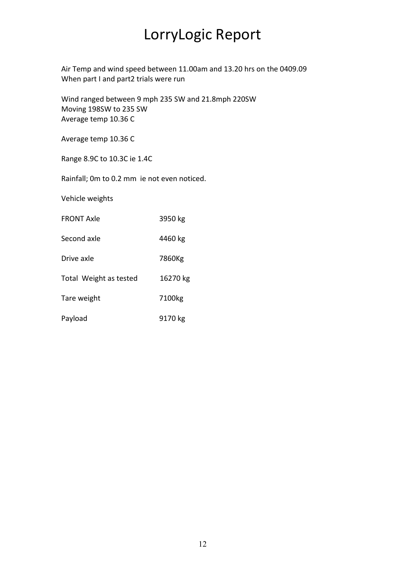Air Temp and wind speed between 11.00am and 13.20 hrs on the 0409.09 When part I and part2 trials were run

Wind ranged between 9 mph 235 SW and 21.8mph 220SW Moving 198SW to 235 SW Average temp 10.36 C

Average temp 10.36 C

Range 8.9C to 10.3C ie 1.4C

Rainfall; 0m to 0.2 mm ie not even noticed.

Vehicle weights

| <b>FRONT Axle</b>      | 3950 kg            |
|------------------------|--------------------|
| Second axle            | 4460 kg            |
| Drive axle             | 7860Kg             |
| Total Weight as tested | 16270 kg           |
| Tare weight            | 7100 <sub>kg</sub> |
| Payload                | 9170 kg            |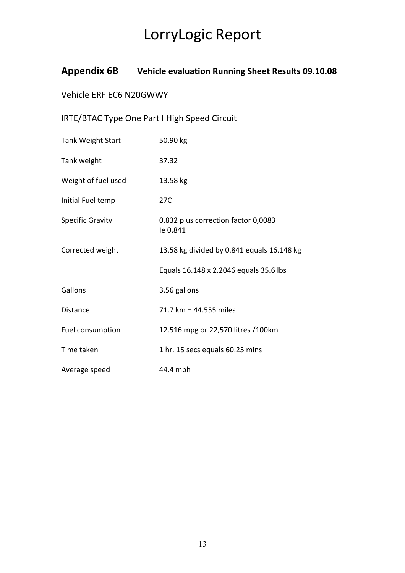## **Appendix 6B Vehicle evaluation Running Sheet Results 09.10.08**

## Vehicle ERF EC6 N20GWWY

## IRTE/BTAC Type One Part I High Speed Circuit

| <b>Tank Weight Start</b> | 50.90 kg                                        |
|--------------------------|-------------------------------------------------|
| Tank weight              | 37.32                                           |
| Weight of fuel used      | 13.58 kg                                        |
| Initial Fuel temp        | 27C                                             |
| <b>Specific Gravity</b>  | 0.832 plus correction factor 0,0083<br>le 0.841 |
| Corrected weight         | 13.58 kg divided by 0.841 equals 16.148 kg      |
|                          | Equals 16.148 x 2.2046 equals 35.6 lbs          |
| Gallons                  | 3.56 gallons                                    |
| <b>Distance</b>          | 71.7 km = 44.555 miles                          |
| Fuel consumption         | 12.516 mpg or 22,570 litres /100km              |
| Time taken               | 1 hr. 15 secs equals 60.25 mins                 |
| Average speed            | 44.4 mph                                        |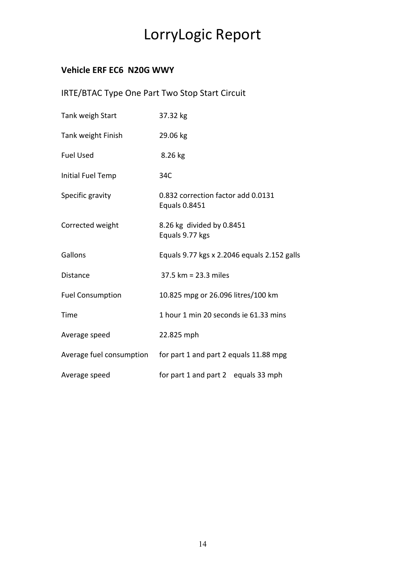## **Vehicle ERF EC6 N20G WWY**

## IRTE/BTAC Type One Part Two Stop Start Circuit

| Tank weigh Start         | 37.32 kg                                            |
|--------------------------|-----------------------------------------------------|
| Tank weight Finish       | 29.06 kg                                            |
| <b>Fuel Used</b>         | 8.26 kg                                             |
| Initial Fuel Temp        | 34C                                                 |
| Specific gravity         | 0.832 correction factor add 0.0131<br>Equals 0.8451 |
| Corrected weight         | 8.26 kg divided by 0.8451<br>Equals 9.77 kgs        |
| Gallons                  | Equals 9.77 kgs x 2.2046 equals 2.152 galls         |
| <b>Distance</b>          | 37.5 km = 23.3 miles                                |
| <b>Fuel Consumption</b>  | 10.825 mpg or 26.096 litres/100 km                  |
| Time                     | 1 hour 1 min 20 seconds ie 61.33 mins               |
| Average speed            | 22.825 mph                                          |
| Average fuel consumption | for part 1 and part 2 equals 11.88 mpg              |
| Average speed            | for part 1 and part 2 equals 33 mph                 |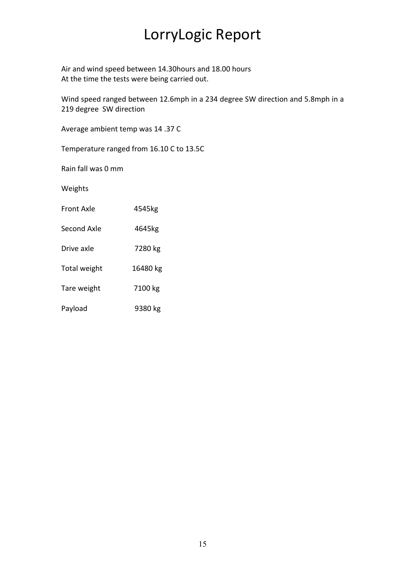Air and wind speed between 14.30hours and 18.00 hours At the time the tests were being carried out.

Wind speed ranged between 12.6mph in a 234 degree SW direction and 5.8mph in a 219 degree SW direction

Average ambient temp was 14 .37 C

Temperature ranged from 16.10 C to 13.5C

Rain fall was 0 mm

Weights

| Front Axle   | 4545kg   |  |
|--------------|----------|--|
| Second Axle  | 4645kg   |  |
| Drive axle   | 7280 kg  |  |
| Total weight | 16480 kg |  |
| Tare weight  | 7100 kg  |  |
| Payload      | 9380 kg  |  |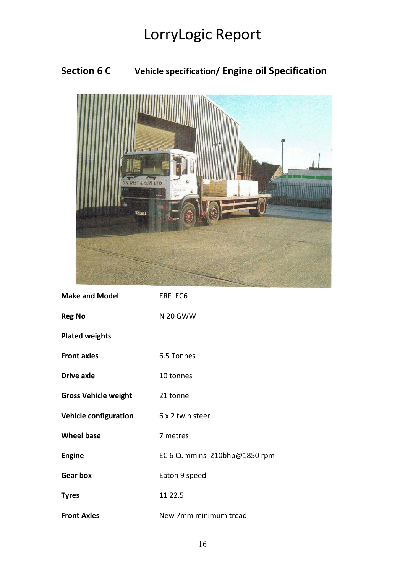## **Section 6 C Vehicle specification/ Engine oil Specification**



| <b>Make and Model</b>        | ERF EC6                      |
|------------------------------|------------------------------|
| <b>Reg No</b>                | <b>N 20 GWW</b>              |
| <b>Plated weights</b>        |                              |
| <b>Front axles</b>           | 6.5 Tonnes                   |
| <b>Drive axle</b>            | 10 tonnes                    |
| <b>Gross Vehicle weight</b>  | 21 tonne                     |
| <b>Vehicle configuration</b> | 6 x 2 twin steer             |
| <b>Wheel base</b>            | 7 metres                     |
| <b>Engine</b>                | EC 6 Cummins 210bhp@1850 rpm |
| <b>Gear box</b>              | Eaton 9 speed                |
| <b>Tyres</b>                 | 11 22.5                      |
| <b>Front Axles</b>           | New 7mm minimum tread        |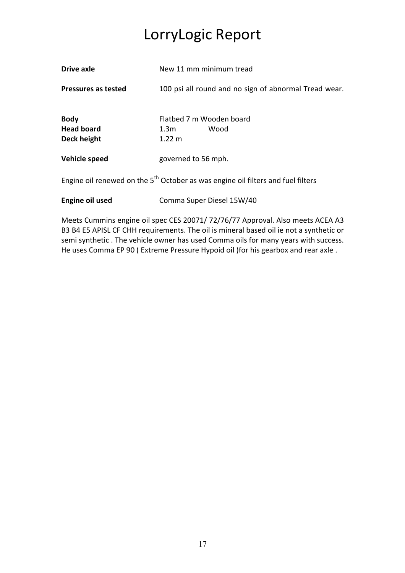| <b>Drive axle</b>                                                                            | New 11 mm minimum tread                                      |  |
|----------------------------------------------------------------------------------------------|--------------------------------------------------------------|--|
| Pressures as tested                                                                          | 100 psi all round and no sign of abnormal Tread wear.        |  |
| <b>Body</b><br><b>Head board</b><br>Deck height                                              | Flatbed 7 m Wooden board<br>Wood<br>1.3m<br>$1.22 \text{ m}$ |  |
| Vehicle speed                                                                                | governed to 56 mph.                                          |  |
| Engine oil renewed on the 5 <sup>th</sup> October as was engine oil filters and fuel filters |                                                              |  |

**Engine oil used Comma Super Diesel 15W/40** 

Meets Cummins engine oil spec CES 20071/ 72/76/77 Approval. Also meets ACEA A3 B3 B4 E5 APISL CF CHH requirements. The oil is mineral based oil ie not a synthetic or semi synthetic . The vehicle owner has used Comma oils for many years with success. He uses Comma EP 90 ( Extreme Pressure Hypoid oil )for his gearbox and rear axle .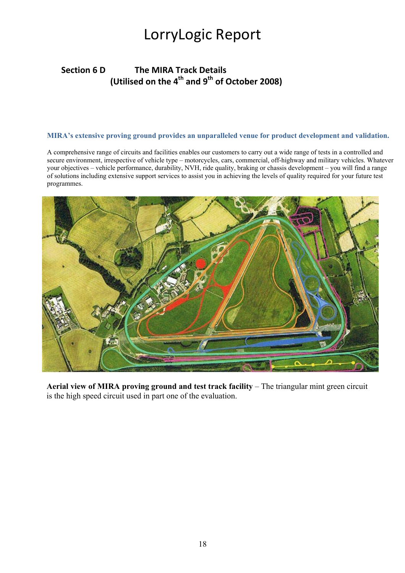## **Section 6 D The MIRA Track Details (Utilised on the 4<sup>th</sup> and 9<sup>th</sup> of October 2008)**

#### **MIRA's extensive proving ground provides an unparalleled venue for product development and validation.**

A comprehensive range of circuits and facilities enables our customers to carry out a wide range of tests in a controlled and secure environment, irrespective of vehicle type – motorcycles, cars, commercial, off-highway and military vehicles. Whatever your objectives – vehicle performance, durability, NVH, ride quality, braking or chassis development – you will find a range of solutions including extensive support services to assist you in achieving the levels of quality required for your future test programmes.



**Aerial view of MIRA proving ground and test track facility** – The triangular mint green circuit is the high speed circuit used in part one of the evaluation.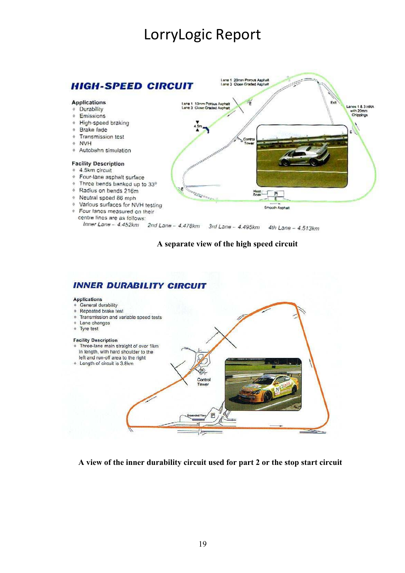

#### **A separate view of the high speed circuit**

### **INNER DURABILITY CIRCUIT**

#### Applications

General durability

#### Repeated brake test Transmission and variable speed tests

- Lane changes
- + Tyre test

#### **Facility Description**

- Three-lane main straight of over 1km in length, with hard shoulder to the left and run-off area to the right
- + Length of circuit is 3.8km

**A view of the inner durability circuit used for part 2 or the stop start circuit** 

 $\mathbf{B}$ 

Control Tower

#### 19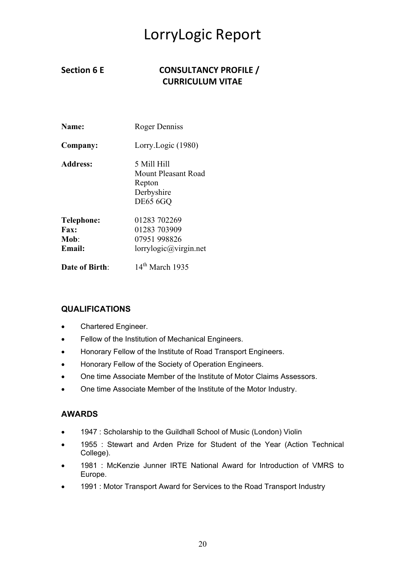## Section 6 E **CONSULTANCY PROFILE** / **CURRICULUM VITAE**

| Name:             | Roger Denniss                                                     |  |
|-------------------|-------------------------------------------------------------------|--|
| Company:          | Lorry.Logic (1980)                                                |  |
| <b>Address:</b>   | 5 Mill Hill<br><b>Mount Pleasant Road</b><br>Repton<br>Derbyshire |  |
|                   | <b>DE65 6GO</b>                                                   |  |
| <b>Telephone:</b> | 01283 702269                                                      |  |
| Fax:              | 01283 703909                                                      |  |
| Mob:              | 07951 998826                                                      |  |
| <b>Email:</b>     | lorrylogic@virgin.net                                             |  |
| Date of Birth:    | $14th$ March 1935                                                 |  |

#### **QUALIFICATIONS**

- Chartered Engineer.
- Fellow of the Institution of Mechanical Engineers.
- Honorary Fellow of the Institute of Road Transport Engineers.
- Honorary Fellow of the Society of Operation Engineers.
- One time Associate Member of the Institute of Motor Claims Assessors.
- One time Associate Member of the Institute of the Motor Industry.

#### **AWARDS**

- 1947 : Scholarship to the Guildhall School of Music (London) Violin
- 1955 : Stewart and Arden Prize for Student of the Year (Action Technical College).
- 1981 : McKenzie Junner IRTE National Award for Introduction of VMRS to Europe.
- 1991 : Motor Transport Award for Services to the Road Transport Industry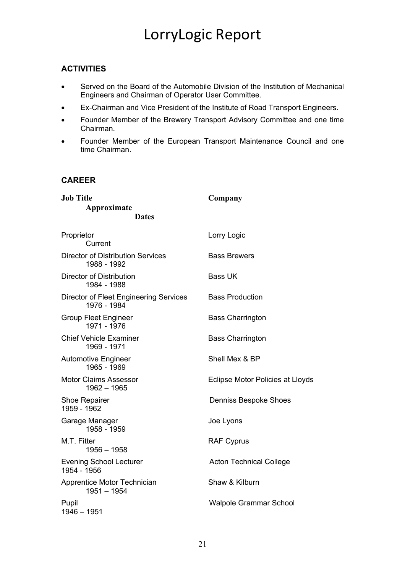### **ACTIVITIES**

- Served on the Board of the Automobile Division of the Institution of Mechanical Engineers and Chairman of Operator User Committee.
- Ex-Chairman and Vice President of the Institute of Road Transport Engineers.
- Founder Member of the Brewery Transport Advisory Committee and one time Chairman.
- Founder Member of the European Transport Maintenance Council and one time Chairman.

#### **CAREER**

| <b>Job Title</b>                                             | Company                          |  |
|--------------------------------------------------------------|----------------------------------|--|
| Approximate                                                  |                                  |  |
| <b>Dates</b>                                                 |                                  |  |
| Proprietor<br>Current                                        | Lorry Logic                      |  |
| <b>Director of Distribution Services</b><br>1988 - 1992      | <b>Bass Brewers</b>              |  |
| Director of Distribution<br>1984 - 1988                      | <b>Bass UK</b>                   |  |
| <b>Director of Fleet Engineering Services</b><br>1976 - 1984 | <b>Bass Production</b>           |  |
| <b>Group Fleet Engineer</b><br>1971 - 1976                   | <b>Bass Charrington</b>          |  |
| <b>Chief Vehicle Examiner</b><br>1969 - 1971                 | <b>Bass Charrington</b>          |  |
| <b>Automotive Engineer</b><br>1965 - 1969                    | Shell Mex & BP                   |  |
| <b>Motor Claims Assessor</b><br>$1962 - 1965$                | Eclipse Motor Policies at Lloyds |  |
| Shoe Repairer<br>1959 - 1962                                 | <b>Denniss Bespoke Shoes</b>     |  |
| Garage Manager<br>1958 - 1959                                | Joe Lyons                        |  |
| M.T. Fitter<br>$1956 - 1958$                                 | <b>RAF Cyprus</b>                |  |
| <b>Evening School Lecturer</b><br>1954 - 1956                | <b>Acton Technical College</b>   |  |
| Apprentice Motor Technician<br>$1951 - 1954$                 | Shaw & Kilburn                   |  |
| Pupil<br>$1946 - 1951$                                       | <b>Walpole Grammar School</b>    |  |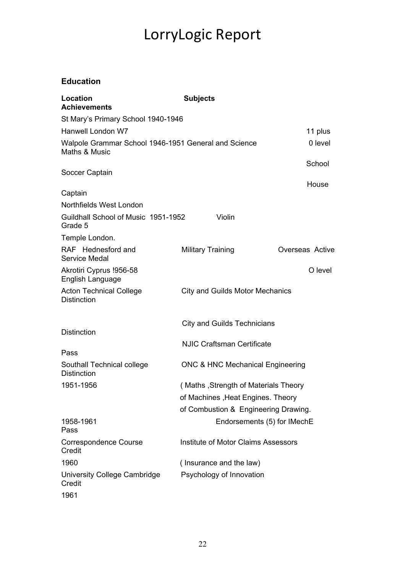## **Education**

| <b>Location</b><br><b>Achievements</b>                                | <b>Subjects</b>                             |                 |  |
|-----------------------------------------------------------------------|---------------------------------------------|-----------------|--|
| St Mary's Primary School 1940-1946                                    |                                             |                 |  |
| Hanwell London W7                                                     |                                             |                 |  |
| Walpole Grammar School 1946-1951 General and Science<br>Maths & Music |                                             | 0 level         |  |
| Soccer Captain                                                        |                                             | School<br>House |  |
| Captain                                                               |                                             |                 |  |
| Northfields West London                                               |                                             |                 |  |
| Guildhall School of Music 1951-1952<br>Grade 5                        | Violin                                      |                 |  |
| Temple London.                                                        |                                             |                 |  |
| RAF Hednesford and<br><b>Service Medal</b>                            | <b>Military Training</b>                    | Overseas Active |  |
| Akrotiri Cyprus !956-58<br>English Language                           |                                             | O level         |  |
| <b>Acton Technical College</b><br><b>Distinction</b>                  | <b>City and Guilds Motor Mechanics</b>      |                 |  |
| <b>Distinction</b>                                                    | <b>City and Guilds Technicians</b>          |                 |  |
|                                                                       |                                             |                 |  |
| Pass                                                                  | <b>NJIC Craftsman Certificate</b>           |                 |  |
| Southall Technical college<br><b>Distinction</b>                      | <b>ONC &amp; HNC Mechanical Engineering</b> |                 |  |
| 1951-1956                                                             | (Maths, Strength of Materials Theory        |                 |  |
|                                                                       | of Machines, Heat Engines. Theory           |                 |  |
|                                                                       | of Combustion & Engineering Drawing.        |                 |  |
| 1958-1961<br>Pass                                                     | Endorsements (5) for IMechE                 |                 |  |
| <b>Correspondence Course</b><br>Credit                                | Institute of Motor Claims Assessors         |                 |  |
| 1960                                                                  | (Insurance and the law)                     |                 |  |
| University College Cambridge<br>Credit                                | Psychology of Innovation                    |                 |  |
| 1961                                                                  |                                             |                 |  |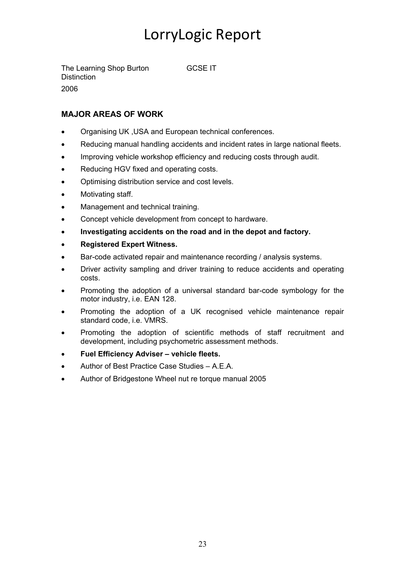The Learning Shop Burton GCSE IT **Distinction** 2006

### **MAJOR AREAS OF WORK**

- Organising UK ,USA and European technical conferences.
- Reducing manual handling accidents and incident rates in large national fleets.
- Improving vehicle workshop efficiency and reducing costs through audit.
- Reducing HGV fixed and operating costs.
- Optimising distribution service and cost levels.
- Motivating staff.
- Management and technical training.
- Concept vehicle development from concept to hardware.
- **Investigating accidents on the road and in the depot and factory.**
- **Registered Expert Witness.**
- Bar-code activated repair and maintenance recording / analysis systems.
- Driver activity sampling and driver training to reduce accidents and operating costs.
- Promoting the adoption of a universal standard bar-code symbology for the motor industry, i.e. EAN 128.
- Promoting the adoption of a UK recognised vehicle maintenance repair standard code, i.e. VMRS.
- Promoting the adoption of scientific methods of staff recruitment and development, including psychometric assessment methods.
- **Fuel Efficiency Adviser vehicle fleets.**
- Author of Best Practice Case Studies A.E.A.
- Author of Bridgestone Wheel nut re torque manual 2005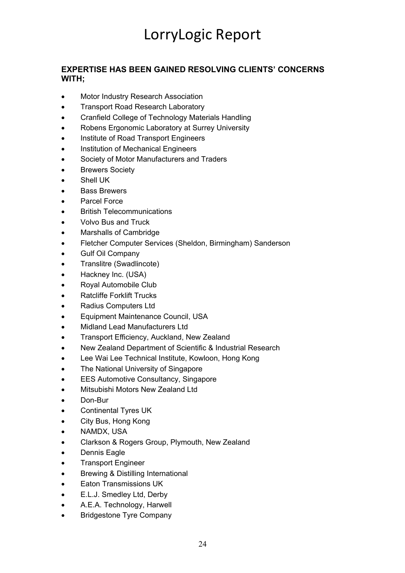#### **EXPERTISE HAS BEEN GAINED RESOLVING CLIENTS' CONCERNS WITH;**

- Motor Industry Research Association
- Transport Road Research Laboratory
- Cranfield College of Technology Materials Handling
- Robens Ergonomic Laboratory at Surrey University
- Institute of Road Transport Engineers
- Institution of Mechanical Engineers
- Society of Motor Manufacturers and Traders
- **Brewers Society**
- Shell UK
- **Bass Brewers**
- Parcel Force
- British Telecommunications
- Volvo Bus and Truck
- Marshalls of Cambridge
- Fletcher Computer Services (Sheldon, Birmingham) Sanderson
- Gulf Oil Company
- Translitre (Swadlincote)
- Hackney Inc. (USA)
- Royal Automobile Club
- Ratcliffe Forklift Trucks
- Radius Computers Ltd
- Equipment Maintenance Council, USA
- Midland Lead Manufacturers Ltd
- Transport Efficiency, Auckland, New Zealand
- New Zealand Department of Scientific & Industrial Research
- Lee Wai Lee Technical Institute, Kowloon, Hong Kong
- The National University of Singapore
- EES Automotive Consultancy, Singapore
- Mitsubishi Motors New Zealand Ltd
- Don-Bur
- Continental Tyres UK
- City Bus, Hong Kong
- NAMDX, USA
- Clarkson & Rogers Group, Plymouth, New Zealand
- Dennis Eagle
- Transport Engineer
- Brewing & Distilling International
- Eaton Transmissions UK
- E.L.J. Smedley Ltd, Derby
- A.E.A. Technology, Harwell
- Bridgestone Tyre Company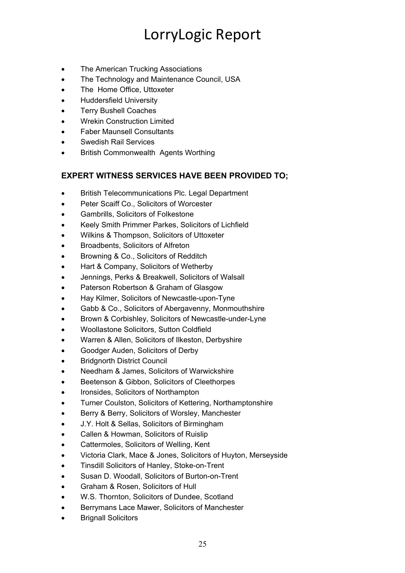- The American Trucking Associations
- The Technology and Maintenance Council, USA
- The Home Office, Uttoxeter
- Huddersfield University
- Terry Bushell Coaches
- Wrekin Construction Limited
- Faber Maunsell Consultants
- Swedish Rail Services
- British Commonwealth Agents Worthing

#### **EXPERT WITNESS SERVICES HAVE BEEN PROVIDED TO;**

- British Telecommunications Plc. Legal Department
- Peter Scaiff Co., Solicitors of Worcester
- Gambrills, Solicitors of Folkestone
- Keely Smith Primmer Parkes, Solicitors of Lichfield
- Wilkins & Thompson, Solicitors of Uttoxeter
- Broadbents, Solicitors of Alfreton
- Browning & Co., Solicitors of Redditch
- Hart & Company, Solicitors of Wetherby
- Jennings, Perks & Breakwell, Solicitors of Walsall
- Paterson Robertson & Graham of Glasgow
- Hay Kilmer, Solicitors of Newcastle-upon-Tyne
- Gabb & Co., Solicitors of Abergavenny, Monmouthshire
- Brown & Corbishley, Solicitors of Newcastle-under-Lyne
- Woollastone Solicitors, Sutton Coldfield
- Warren & Allen, Solicitors of Ilkeston, Derbyshire
- Goodger Auden, Solicitors of Derby
- **Bridgnorth District Council**
- Needham & James, Solicitors of Warwickshire
- Beetenson & Gibbon, Solicitors of Cleethorpes
- Ironsides, Solicitors of Northampton
- Turner Coulston, Solicitors of Kettering, Northamptonshire
- Berry & Berry, Solicitors of Worsley, Manchester
- J.Y. Holt & Sellas, Solicitors of Birmingham
- Callen & Howman, Solicitors of Ruislip
- Cattermoles, Solicitors of Welling, Kent
- Victoria Clark, Mace & Jones, Solicitors of Huyton, Merseyside
- Tinsdill Solicitors of Hanley, Stoke-on-Trent
- Susan D. Woodall, Solicitors of Burton-on-Trent
- Graham & Rosen, Solicitors of Hull
- W.S. Thornton, Solicitors of Dundee, Scotland
- Berrymans Lace Mawer, Solicitors of Manchester
- **Brignall Solicitors**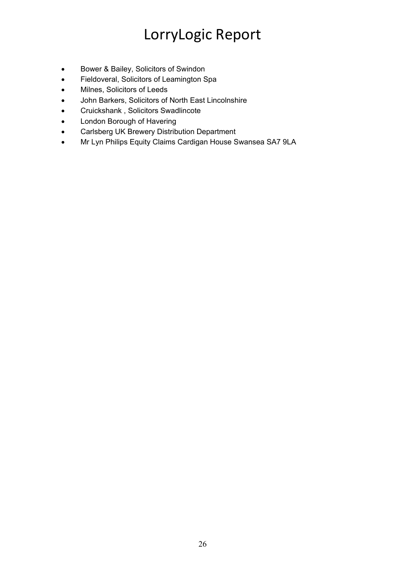- Bower & Bailey, Solicitors of Swindon
- Fieldoveral, Solicitors of Leamington Spa
- Milnes, Solicitors of Leeds
- John Barkers, Solicitors of North East Lincolnshire
- Cruickshank , Solicitors Swadlincote
- London Borough of Havering
- Carlsberg UK Brewery Distribution Department
- Mr Lyn Philips Equity Claims Cardigan House Swansea SA7 9LA